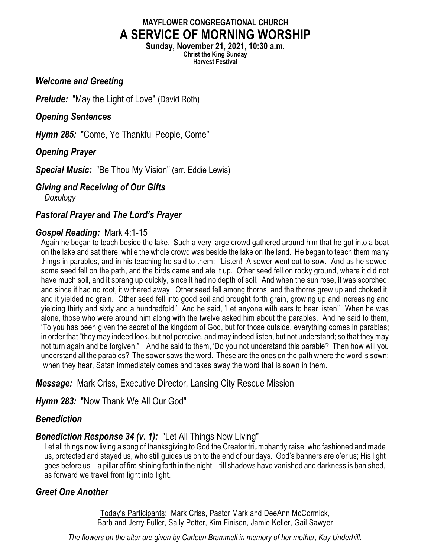# **MAYFLOWER CONGREGATIONAL CHURCH A SERVICE OF MORNING WORSHIP**

**Sunday, November 21, 2021, 10:30 a.m. Christ the King Sunday Harvest Festival**

#### *Welcome and Greeting*

*Prelude:* "May the Light of Love" (David Roth)

#### *Opening Sentences*

*Hymn 285:* "Come, Ye Thankful People, Come"

## *Opening Prayer*

*Special Music:* "Be Thou My Vision" (arr. Eddie Lewis)

### *Giving and Receiving of Our Gifts*

*Doxology*

### *Pastoral Prayer* **and** *The Lord's Prayer*

### *Gospel Reading:* Mark 4:1-15

Again he began to teach beside the lake. Such a very large crowd gathered around him that he got into a boat on the lake and sat there, while the whole crowd was beside the lake on the land. He began to teach them many things in parables, and in his teaching he said to them: 'Listen! A sower went out to sow. And as he sowed, some seed fell on the path, and the birds came and ate it up. Other seed fell on rocky ground, where it did not have much soil, and it sprang up quickly, since it had no depth of soil. And when the sun rose, it was scorched; and since it had no root, it withered away. Other seed fell among thorns, and the thorns grew up and choked it, and it yielded no grain. Other seed fell into good soil and brought forth grain, growing up and increasing and yielding thirty and sixty and a hundredfold.' And he said, 'Let anyone with ears to hear listen!' When he was alone, those who were around him along with the twelve asked him about the parables. And he said to them, 'To you has been given the secret of the kingdom of God, but for those outside, everything comes in parables; in order that "they may indeed look, but not perceive, and may indeed listen, but not understand; so that they may not turn again and be forgiven." ' And he said to them, 'Do you not understand this parable? Then how will you understand all the parables? The sower sows the word. These are the ones on the path where the word is sown: when they hear, Satan immediately comes and takes away the word that is sown in them.

### *Message:* Mark Criss, Executive Director, Lansing City Rescue Mission

*Hymn 283:* "Now Thank We All Our God"

### *Benediction*

### *Benediction Response 34 (v. 1):* "Let All Things Now Living"

Let all things now living a song of thanksgiving to God the Creator triumphantly raise; who fashioned and made us, protected and stayed us, who still guides us on to the end of our days. God's banners are o'er us; His light goes before us—a pillar of fire shining forth in the night—till shadows have vanished and darkness is banished, as forward we travel from light into light.

### *Greet One Another*

Today's Participants: Mark Criss, Pastor Mark and DeeAnn McCormick, Barb and Jerry Fuller, Sally Potter, Kim Finison, Jamie Keller, Gail Sawyer

*The flowers on the altar are given by Carleen Brammell in memory of her mother, Kay Underhill.*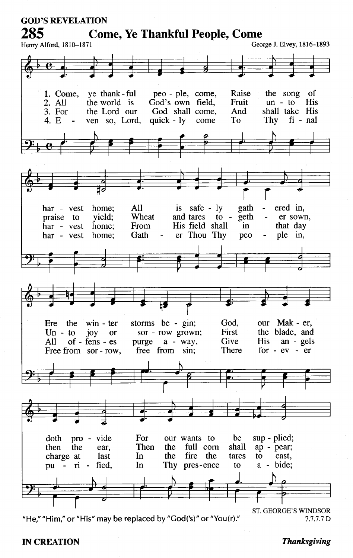

"He," "Him," or "His" may be replaced by "God('s)" or "You(r)."

 $7.7.7.7 D$ 

#### **IN CREATION**

#### **Thanksgiving**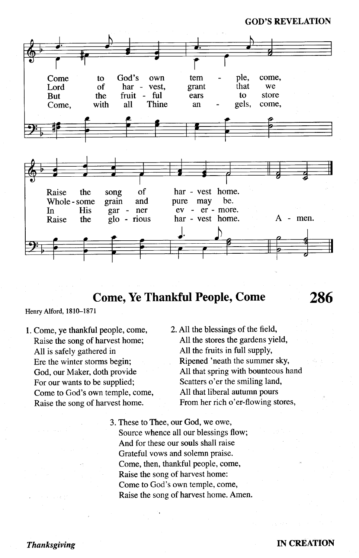**GOD'S REVELATION** 



# **Come, Ye Thankful People, Come**

Henry Alford, 1810-1871

- 1. Come, ye thankful people, come, Raise the song of harvest home; All is safely gathered in Ere the winter storms begin; God, our Maker, doth provide For our wants to be supplied; Come to God's own temple, come, Raise the song of harvest home.
- 2. All the blessings of the field, All the stores the gardens yield, All the fruits in full supply, Ripened 'neath the summer sky, All that spring with bounteous hand Scatters o'er the smiling land, All that liberal autumn pours From her rich o'er-flowing stores,
- 3. These to Thee, our God, we owe, Source whence all our blessings flow; And for these our souls shall raise Grateful vows and solemn praise. Come, then, thankful people, come, Raise the song of harvest home: Come to God's own temple, come, Raise the song of harvest home. Amen.

#### **IN CREATION**

286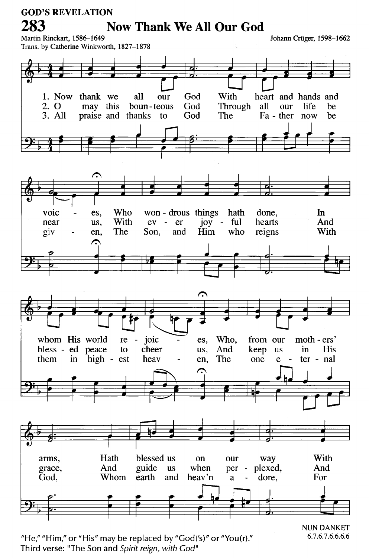

"He," "Him," or "His" may be replaced by "God('s)" or "You(r)." Third verse: "The Son and Spirit reign, with God"

6.7.6.7.6.6.6.6